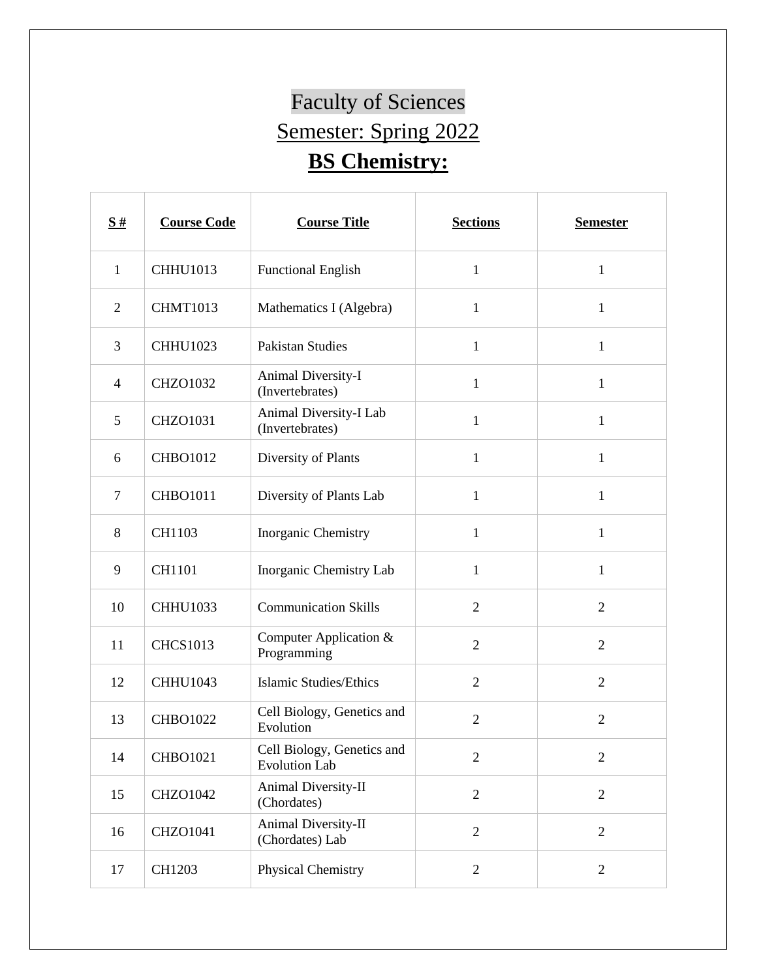## Faculty of Sciences Semester: Spring 2022 **BS Chemistry:**

| $\frac{S#}{4}$ | <b>Course Code</b> | <b>Course Title</b>                                | <b>Sections</b> | <b>Semester</b> |
|----------------|--------------------|----------------------------------------------------|-----------------|-----------------|
| $\mathbf{1}$   | <b>CHHU1013</b>    | <b>Functional English</b>                          | $\mathbf{1}$    | $\mathbf{1}$    |
| $\overline{2}$ | <b>CHMT1013</b>    | Mathematics I (Algebra)                            | $\mathbf{1}$    | $\mathbf{1}$    |
| 3              | <b>CHHU1023</b>    | <b>Pakistan Studies</b>                            | $\mathbf{1}$    | $\mathbf{1}$    |
| $\overline{4}$ | <b>CHZO1032</b>    | Animal Diversity-I<br>(Invertebrates)              | $\mathbf{1}$    | $\mathbf{1}$    |
| 5              | <b>CHZO1031</b>    | Animal Diversity-I Lab<br>(Invertebrates)          | $\mathbf{1}$    | $\mathbf{1}$    |
| 6              | <b>CHBO1012</b>    | Diversity of Plants                                | 1               | $\mathbf{1}$    |
| $\overline{7}$ | <b>CHBO1011</b>    | Diversity of Plants Lab                            | $\mathbf{1}$    | 1               |
| 8              | CH1103             | Inorganic Chemistry                                | $\mathbf{1}$    | $\mathbf{1}$    |
| 9              | CH1101             | Inorganic Chemistry Lab                            | $\mathbf{1}$    | $\mathbf{1}$    |
| 10             | <b>CHHU1033</b>    | <b>Communication Skills</b>                        | $\overline{2}$  | $\overline{2}$  |
| 11             | <b>CHCS1013</b>    | Computer Application &<br>Programming              | $\overline{2}$  | $\overline{2}$  |
| 12             | <b>CHHU1043</b>    | <b>Islamic Studies/Ethics</b>                      | $\overline{2}$  | $\overline{2}$  |
| 13             | <b>CHBO1022</b>    | Cell Biology, Genetics and<br>Evolution            | $\overline{2}$  | $\overline{2}$  |
| 14             | <b>CHBO1021</b>    | Cell Biology, Genetics and<br><b>Evolution Lab</b> | $\overline{c}$  | $\overline{c}$  |
| 15             | CHZO1042           | Animal Diversity-II<br>(Chordates)                 | $\overline{2}$  | $\overline{2}$  |
| 16             | <b>CHZO1041</b>    | Animal Diversity-II<br>(Chordates) Lab             | $\overline{2}$  | $\overline{2}$  |
| 17             | CH1203             | <b>Physical Chemistry</b>                          | $\overline{2}$  | $\overline{2}$  |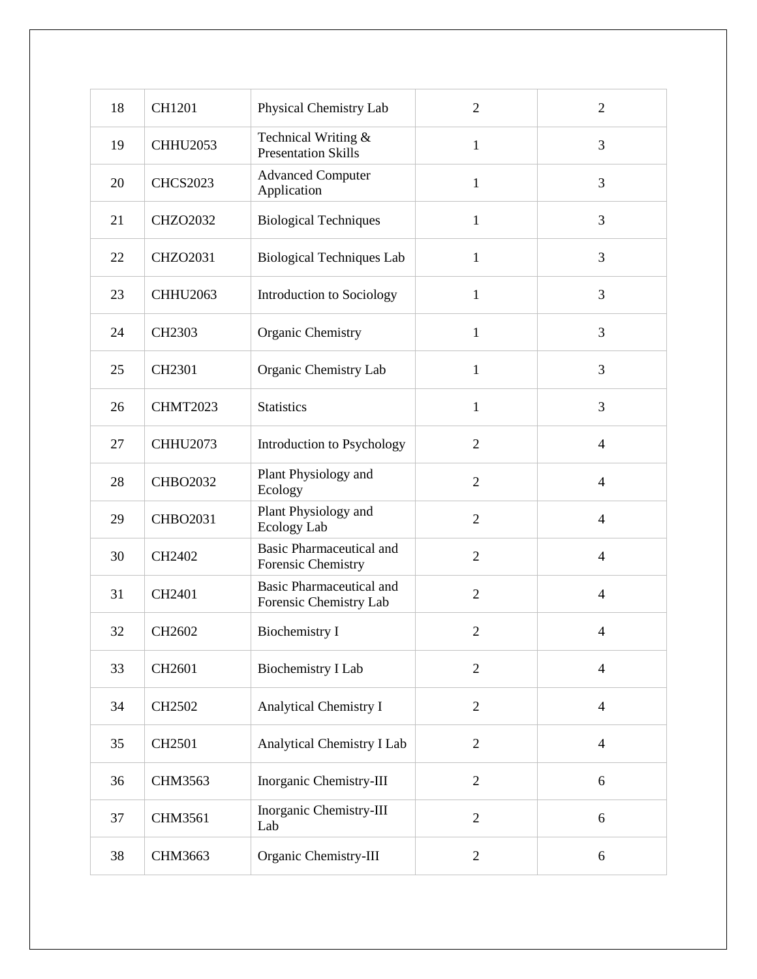| 18 | CH1201          | Physical Chemistry Lab                                    | $\overline{2}$ | $\overline{2}$ |
|----|-----------------|-----------------------------------------------------------|----------------|----------------|
| 19 | <b>CHHU2053</b> | Technical Writing &<br><b>Presentation Skills</b>         | $\mathbf{1}$   | 3              |
| 20 | <b>CHCS2023</b> | <b>Advanced Computer</b><br>Application                   | $\mathbf{1}$   | 3              |
| 21 | <b>CHZO2032</b> | <b>Biological Techniques</b>                              | $\mathbf{1}$   | 3              |
| 22 | <b>CHZO2031</b> | <b>Biological Techniques Lab</b>                          | $\mathbf{1}$   | 3              |
| 23 | CHHU2063        | Introduction to Sociology                                 | $\mathbf{1}$   | 3              |
| 24 | CH2303          | <b>Organic Chemistry</b>                                  | $\mathbf{1}$   | 3              |
| 25 | CH2301          | Organic Chemistry Lab                                     | $\mathbf{1}$   | 3              |
| 26 | <b>CHMT2023</b> | <b>Statistics</b>                                         | $\mathbf{1}$   | 3              |
| 27 | <b>CHHU2073</b> | Introduction to Psychology                                | $\overline{2}$ | $\overline{4}$ |
| 28 | <b>CHBO2032</b> | Plant Physiology and<br>Ecology                           | $\overline{2}$ | $\overline{4}$ |
| 29 | <b>CHBO2031</b> | Plant Physiology and<br>Ecology Lab                       | $\overline{2}$ | $\overline{4}$ |
| 30 | CH2402          | <b>Basic Pharmaceutical and</b><br>Forensic Chemistry     | $\overline{2}$ | $\overline{4}$ |
| 31 | CH2401          | <b>Basic Pharmaceutical and</b><br>Forensic Chemistry Lab | $\overline{2}$ | $\overline{4}$ |
| 32 | CH2602          | <b>Biochemistry I</b>                                     | $\overline{2}$ | $\overline{4}$ |
| 33 | CH2601          | <b>Biochemistry I Lab</b>                                 | $\overline{2}$ | $\overline{4}$ |
| 34 | CH2502          | <b>Analytical Chemistry I</b>                             | $\sqrt{2}$     | $\overline{4}$ |
| 35 | CH2501          | Analytical Chemistry I Lab                                | $\mathbf{2}$   | $\overline{4}$ |
| 36 | CHM3563         | Inorganic Chemistry-III                                   | $\overline{2}$ | 6              |
| 37 | CHM3561         | Inorganic Chemistry-III<br>Lab                            | $\overline{2}$ | 6              |
| 38 | CHM3663         | Organic Chemistry-III                                     | $\overline{2}$ | $6\,$          |